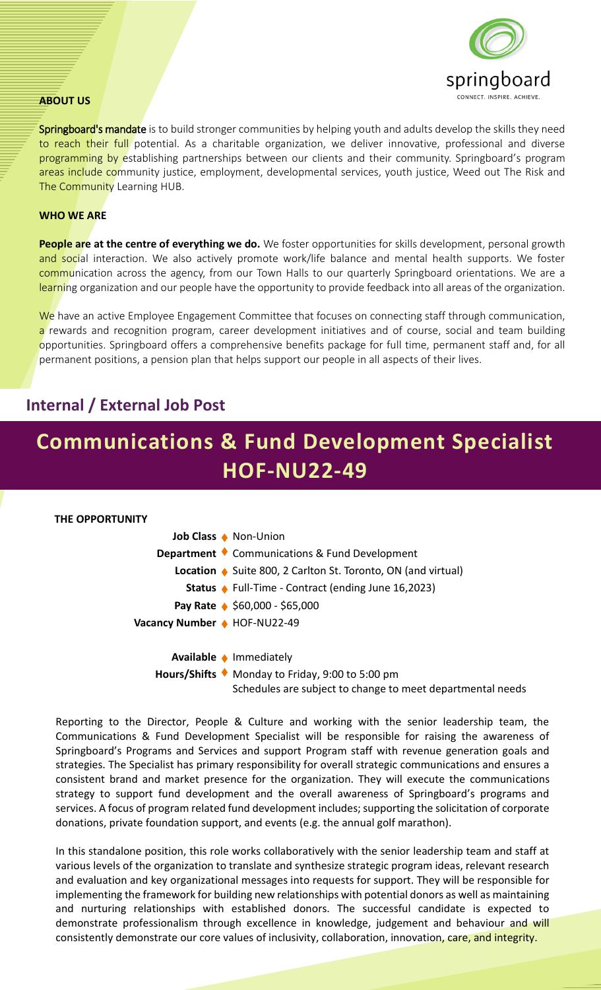

#### **ABOUT US**

Springboard's mandate is to build stronger communities by helping youth and adults develop the skills they need to reach their full potential. As a charitable organization, we deliver innovative, professional and diverse programming by establishing partnerships between our clients and their community. Springboard's program areas include community justice, employment, developmental services, youth justice, Weed out The Risk and The Community Learning HUB.

#### **WHO WE ARE**

**People are at the centre of everything we do.** We foster opportunities for skills development, personal growth and social interaction. We also actively promote work/life balance and mental health supports. We foster communication across the agency, from our Town Halls to our quarterly Springboard orientations. We are a learning organization and our people have the opportunity to provide feedback into all areas of the organization.

We have an active Employee Engagement Committee that focuses on connecting staff through communication, a rewards and recognition program, career development initiatives and of course, social and team building opportunities. Springboard offers a comprehensive benefits package for full time, permanent staff and, for all permanent positions, a pension plan that helps support our people in all aspects of their lives.

# **Internal / External Job Post**

# **Communications & Fund Development Specialist HOF-NU22-49**



Reporting to the Director, People & Culture and working with the senior leadership team, the Communications & Fund Development Specialist will be responsible for raising the awareness of Springboard's Programs and Services and support Program staff with revenue generation goals and strategies. The Specialist has primary responsibility for overall strategic communications and ensures a consistent brand and market presence for the organization. They will execute the communications strategy to support fund development and the overall awareness of Springboard's programs and services. A focus of program related fund development includes; supporting the solicitation of corporate donations, private foundation support, and events (e.g. the annual golf marathon).

In this standalone position, this role works collaboratively with the senior leadership team and staff at various levels of the organization to translate and synthesize strategic program ideas, relevant research and evaluation and key organizational messages into requests for support. They will be responsible for implementing the framework for building new relationships with potential donors as well as maintaining and nurturing relationships with established donors. The successful candidate is expected to demonstrate professionalism through excellence in knowledge, judgement and behaviour and will consistently demonstrate our core values of inclusivity, collaboration, innovation, care, and integrity.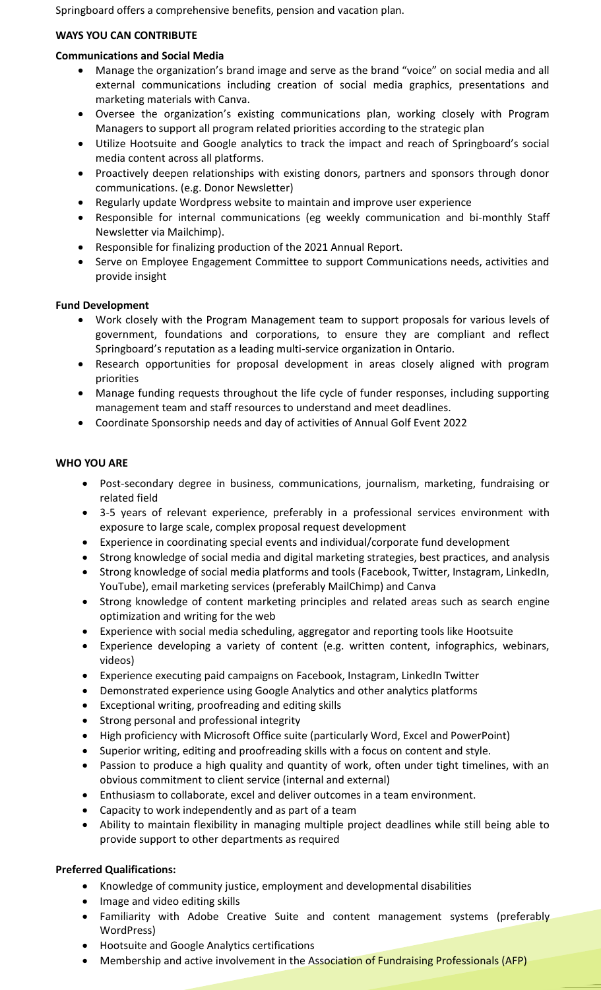Springboard offers a comprehensive benefits, pension and vacation plan.

## **WAYS YOU CAN CONTRIBUTE**

### **Communications and Social Media**

- Manage the organization's brand image and serve as the brand "voice" on social media and all external communications including creation of social media graphics, presentations and marketing materials with Canva.
- Oversee the organization's existing communications plan, working closely with Program Managers to support all program related priorities according to the strategic plan
- Utilize Hootsuite and Google analytics to track the impact and reach of Springboard's social media content across all platforms.
- Proactively deepen relationships with existing donors, partners and sponsors through donor communications. (e.g. Donor Newsletter)
- Regularly update Wordpress website to maintain and improve user experience
- Responsible for internal communications (eg weekly communication and bi-monthly Staff Newsletter via Mailchimp).
- Responsible for finalizing production of the 2021 Annual Report.
- Serve on Employee Engagement Committee to support Communications needs, activities and provide insight

### **Fund Development**

- Work closely with the Program Management team to support proposals for various levels of government, foundations and corporations, to ensure they are compliant and reflect Springboard's reputation as a leading multi-service organization in Ontario.
- Research opportunities for proposal development in areas closely aligned with program priorities
- Manage funding requests throughout the life cycle of funder responses, including supporting management team and staff resources to understand and meet deadlines.
- Coordinate Sponsorship needs and day of activities of Annual Golf Event 2022

### **WHO YOU ARE**

- Post-secondary degree in business, communications, journalism, marketing, fundraising or related field
- 3-5 years of relevant experience, preferably in a professional services environment with exposure to large scale, complex proposal request development
- Experience in coordinating special events and individual/corporate fund development
- Strong knowledge of social media and digital marketing strategies, best practices, and analysis
- Strong knowledge of social media platforms and tools (Facebook, Twitter, Instagram, LinkedIn, YouTube), email marketing services (preferably MailChimp) and Canva
- Strong knowledge of content marketing principles and related areas such as search engine optimization and writing for the web
- Experience with social media scheduling, aggregator and reporting tools like Hootsuite
- Experience developing a variety of content (e.g. written content, infographics, webinars, videos)
- Experience executing paid campaigns on Facebook, Instagram, LinkedIn Twitter
- Demonstrated experience using Google Analytics and other analytics platforms
- Exceptional writing, proofreading and editing skills
- Strong personal and professional integrity
- High proficiency with Microsoft Office suite (particularly Word, Excel and PowerPoint)
- Superior writing, editing and proofreading skills with a focus on content and style.
- Passion to produce a high quality and quantity of work, often under tight timelines, with an obvious commitment to client service (internal and external)
- Enthusiasm to collaborate, excel and deliver outcomes in a team environment.
- Capacity to work independently and as part of a team
- Ability to maintain flexibility in managing multiple project deadlines while still being able to provide support to other departments as required

# **Preferred Qualifications:**

- Knowledge of community justice, employment and developmental disabilities
- Image and video editing skills
- Familiarity with Adobe Creative Suite and content management systems (preferably WordPress)
- Hootsuite and Google Analytics certifications
- Membership and active involvement in the Association of Fundraising Professionals (AFP)